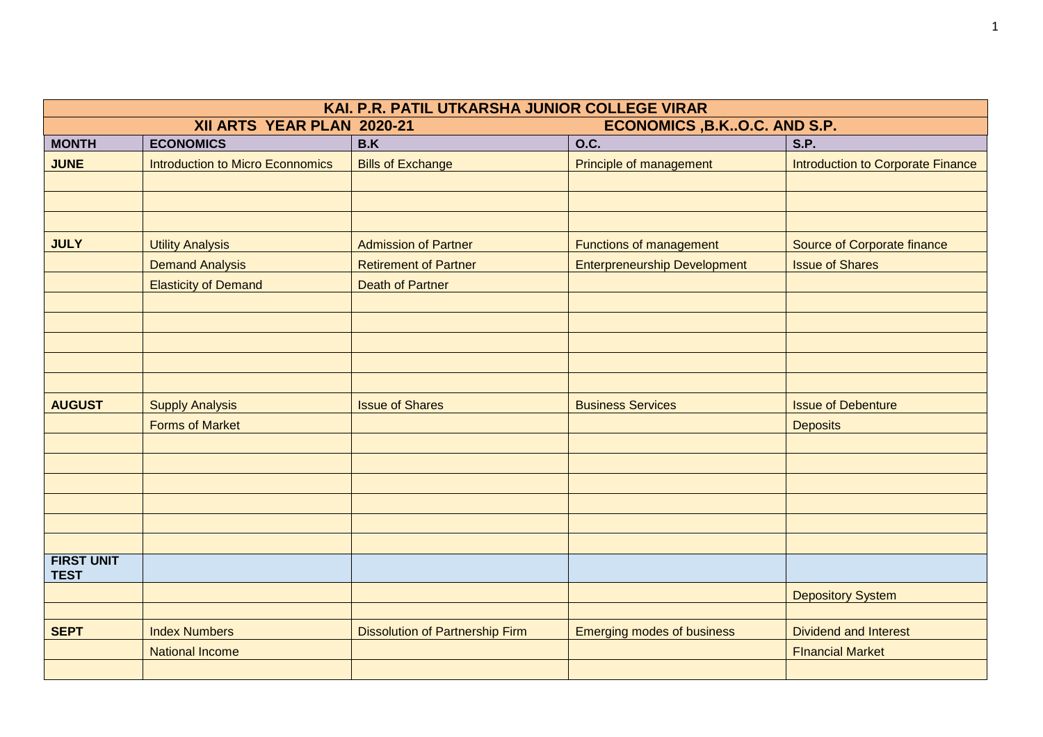| KAI. P.R. PATIL UTKARSHA JUNIOR COLLEGE VIRAR |                                         |                                        |                                     |                                          |
|-----------------------------------------------|-----------------------------------------|----------------------------------------|-------------------------------------|------------------------------------------|
|                                               | XII ARTS YEAR PLAN 2020-21              | ECONOMICS, B.KO.C. AND S.P.            |                                     |                                          |
| <b>MONTH</b>                                  | <b>ECONOMICS</b>                        | B.K                                    | O.C.                                | S.P.                                     |
| <b>JUNE</b>                                   | <b>Introduction to Micro Econnomics</b> | <b>Bills of Exchange</b>               | Principle of management             | <b>Introduction to Corporate Finance</b> |
|                                               |                                         |                                        |                                     |                                          |
|                                               |                                         |                                        |                                     |                                          |
|                                               |                                         |                                        |                                     |                                          |
| <b>JULY</b>                                   | <b>Utility Analysis</b>                 | <b>Admission of Partner</b>            | Functions of management             | <b>Source of Corporate finance</b>       |
|                                               | <b>Demand Analysis</b>                  | <b>Retirement of Partner</b>           | <b>Enterpreneurship Development</b> | <b>Issue of Shares</b>                   |
|                                               | <b>Elasticity of Demand</b>             | <b>Death of Partner</b>                |                                     |                                          |
|                                               |                                         |                                        |                                     |                                          |
|                                               |                                         |                                        |                                     |                                          |
|                                               |                                         |                                        |                                     |                                          |
|                                               |                                         |                                        |                                     |                                          |
|                                               |                                         |                                        |                                     |                                          |
| <b>AUGUST</b>                                 | <b>Supply Analysis</b>                  | <b>Issue of Shares</b>                 | <b>Business Services</b>            | <b>Issue of Debenture</b>                |
|                                               | <b>Forms of Market</b>                  |                                        |                                     | <b>Deposits</b>                          |
|                                               |                                         |                                        |                                     |                                          |
|                                               |                                         |                                        |                                     |                                          |
|                                               |                                         |                                        |                                     |                                          |
|                                               |                                         |                                        |                                     |                                          |
|                                               |                                         |                                        |                                     |                                          |
|                                               |                                         |                                        |                                     |                                          |
| <b>FIRST UNIT</b><br><b>TEST</b>              |                                         |                                        |                                     |                                          |
|                                               |                                         |                                        |                                     | <b>Depository System</b>                 |
|                                               |                                         |                                        |                                     |                                          |
| <b>SEPT</b>                                   | <b>Index Numbers</b>                    | <b>Dissolution of Partnership Firm</b> | <b>Emerging modes of business</b>   | <b>Dividend and Interest</b>             |
|                                               | <b>National Income</b>                  |                                        |                                     | <b>FInancial Market</b>                  |
|                                               |                                         |                                        |                                     |                                          |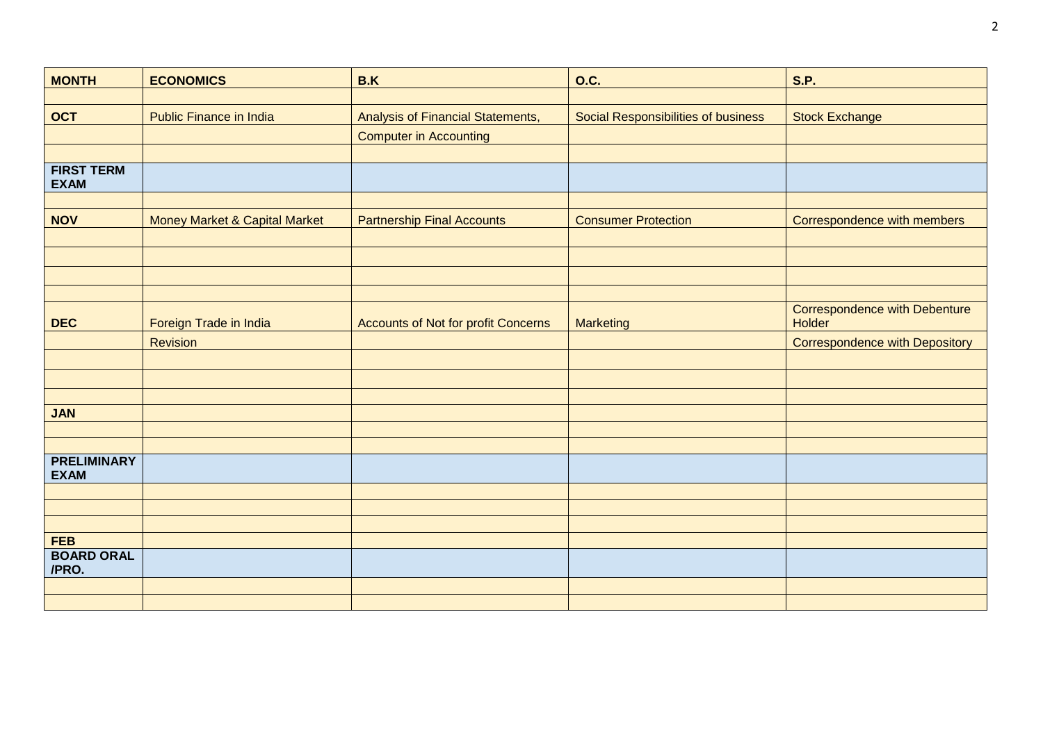| <b>MONTH</b>                     | <b>ECONOMICS</b>                         | B.K                                        | <b>O.C.</b>                         | <b>S.P.</b>                                           |
|----------------------------------|------------------------------------------|--------------------------------------------|-------------------------------------|-------------------------------------------------------|
|                                  |                                          |                                            |                                     |                                                       |
| <b>OCT</b>                       | <b>Public Finance in India</b>           | Analysis of Financial Statements,          | Social Responsibilities of business | <b>Stock Exchange</b>                                 |
|                                  |                                          | <b>Computer in Accounting</b>              |                                     |                                                       |
|                                  |                                          |                                            |                                     |                                                       |
| <b>FIRST TERM</b><br><b>EXAM</b> |                                          |                                            |                                     |                                                       |
|                                  |                                          |                                            |                                     |                                                       |
| <b>NOV</b>                       | <b>Money Market &amp; Capital Market</b> | <b>Partnership Final Accounts</b>          | <b>Consumer Protection</b>          | Correspondence with members                           |
|                                  |                                          |                                            |                                     |                                                       |
|                                  |                                          |                                            |                                     |                                                       |
|                                  |                                          |                                            |                                     |                                                       |
|                                  |                                          |                                            |                                     |                                                       |
| <b>DEC</b>                       | Foreign Trade in India                   | <b>Accounts of Not for profit Concerns</b> | Marketing                           | <b>Correspondence with Debenture</b><br><b>Holder</b> |
|                                  | Revision                                 |                                            |                                     | <b>Correspondence with Depository</b>                 |
|                                  |                                          |                                            |                                     |                                                       |
|                                  |                                          |                                            |                                     |                                                       |
|                                  |                                          |                                            |                                     |                                                       |
| <b>JAN</b>                       |                                          |                                            |                                     |                                                       |
|                                  |                                          |                                            |                                     |                                                       |
| <b>PRELIMINARY</b>               |                                          |                                            |                                     |                                                       |
| <b>EXAM</b>                      |                                          |                                            |                                     |                                                       |
|                                  |                                          |                                            |                                     |                                                       |
|                                  |                                          |                                            |                                     |                                                       |
|                                  |                                          |                                            |                                     |                                                       |
| <b>FEB</b><br><b>BOARD ORAL</b>  |                                          |                                            |                                     |                                                       |
| /PRO.                            |                                          |                                            |                                     |                                                       |
|                                  |                                          |                                            |                                     |                                                       |
|                                  |                                          |                                            |                                     |                                                       |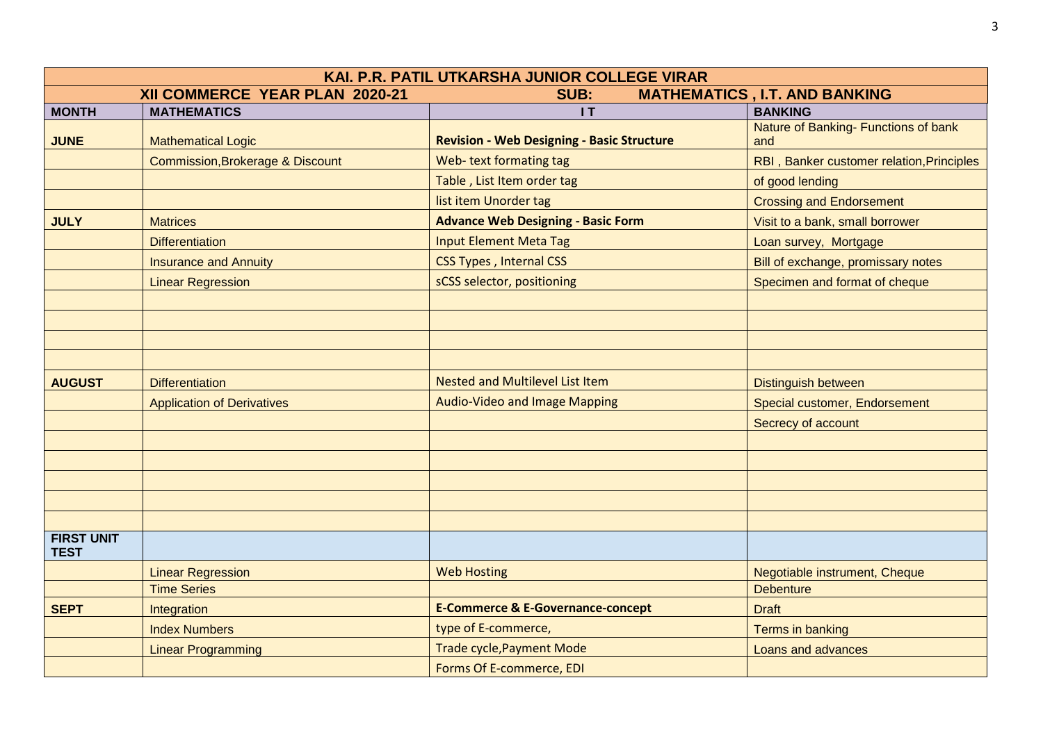| KAI. P.R. PATIL UTKARSHA JUNIOR COLLEGE VIRAR |                                             |                                                   |                                             |  |
|-----------------------------------------------|---------------------------------------------|---------------------------------------------------|---------------------------------------------|--|
|                                               | XII COMMERCE YEAR PLAN 2020-21              | SUB:                                              | <b>MATHEMATICS, I.T. AND BANKING</b>        |  |
| <b>MONTH</b>                                  | <b>MATHEMATICS</b>                          | IT                                                | <b>BANKING</b>                              |  |
| <b>JUNE</b>                                   | <b>Mathematical Logic</b>                   | <b>Revision - Web Designing - Basic Structure</b> | Nature of Banking- Functions of bank<br>and |  |
|                                               | <b>Commission, Brokerage &amp; Discount</b> | Web-text formating tag                            | RBI, Banker customer relation, Principles   |  |
|                                               |                                             | Table, List Item order tag                        | of good lending                             |  |
|                                               |                                             | list item Unorder tag                             | <b>Crossing and Endorsement</b>             |  |
| <b>JULY</b>                                   | <b>Matrices</b>                             | <b>Advance Web Designing - Basic Form</b>         | Visit to a bank, small borrower             |  |
|                                               | <b>Differentiation</b>                      | <b>Input Element Meta Tag</b>                     | Loan survey, Mortgage                       |  |
|                                               | <b>Insurance and Annuity</b>                | <b>CSS Types, Internal CSS</b>                    | Bill of exchange, promissary notes          |  |
|                                               | <b>Linear Regression</b>                    | sCSS selector, positioning                        | Specimen and format of cheque               |  |
|                                               |                                             |                                                   |                                             |  |
|                                               |                                             |                                                   |                                             |  |
|                                               |                                             |                                                   |                                             |  |
|                                               |                                             |                                                   |                                             |  |
| <b>AUGUST</b>                                 | <b>Differentiation</b>                      | <b>Nested and Multilevel List Item</b>            | <b>Distinguish between</b>                  |  |
|                                               | <b>Application of Derivatives</b>           | <b>Audio-Video and Image Mapping</b>              | Special customer, Endorsement               |  |
|                                               |                                             |                                                   | Secrecy of account                          |  |
|                                               |                                             |                                                   |                                             |  |
|                                               |                                             |                                                   |                                             |  |
|                                               |                                             |                                                   |                                             |  |
|                                               |                                             |                                                   |                                             |  |
|                                               |                                             |                                                   |                                             |  |
| <b>FIRST UNIT</b><br><b>TEST</b>              |                                             |                                                   |                                             |  |
|                                               | <b>Linear Regression</b>                    | <b>Web Hosting</b>                                | Negotiable instrument, Cheque               |  |
|                                               | <b>Time Series</b>                          |                                                   | <b>Debenture</b>                            |  |
| <b>SEPT</b>                                   | Integration                                 | <b>E-Commerce &amp; E-Governance-concept</b>      | <b>Draft</b>                                |  |
|                                               | <b>Index Numbers</b>                        | type of E-commerce,                               | Terms in banking                            |  |
|                                               | <b>Linear Programming</b>                   | <b>Trade cycle, Payment Mode</b>                  | Loans and advances                          |  |
|                                               |                                             | Forms Of E-commerce, EDI                          |                                             |  |